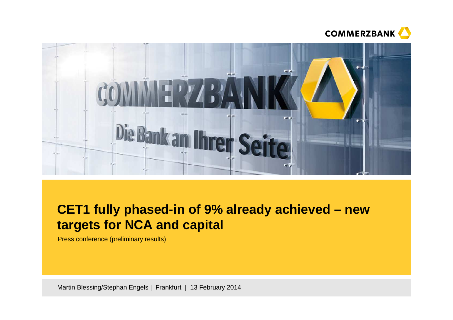



# **CET1 fully phased-in of 9% already achieved – new targets for NCA and capital**

Press conference (preliminary results)

Martin Blessing/Stephan Engels | Frankfurt | 13 February 2014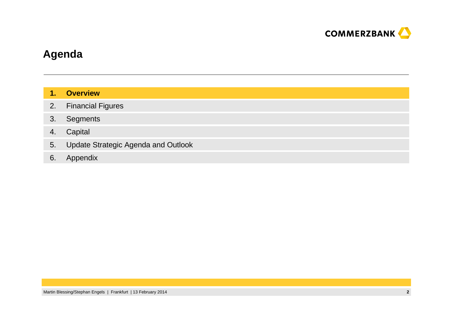

## **Agenda**

| T. | <b>Overview</b> |
|----|-----------------|
|    |                 |

- 2.Financial Figures
- 3.**Segments**
- 4.Capital
- 5.Update Strategic Agenda and Outlook
- 6. Appendix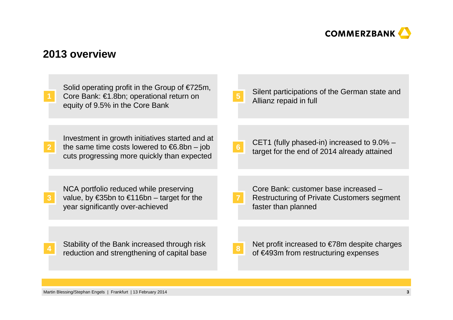

## **2013 overview**

| Solid operating profit in the Group of $E$ 725m,<br>Core Bank: €1.8bn; operational return on<br>equity of 9.5% in the Core Bank                         | Silent participations of the German state and<br>Allianz repaid in full                                          |
|---------------------------------------------------------------------------------------------------------------------------------------------------------|------------------------------------------------------------------------------------------------------------------|
| Investment in growth initiatives started and at<br>the same time costs lowered to $\epsilon$ 6.8bn – job<br>cuts progressing more quickly than expected | CET1 (fully phased-in) increased to 9.0% –<br>target for the end of 2014 already attained                        |
| NCA portfolio reduced while preserving<br>value, by €35bn to €116bn – target for the<br>year significantly over-achieved                                | Core Bank: customer base increased -<br><b>Restructuring of Private Customers segment</b><br>faster than planned |
| Stability of the Bank increased through risk<br>reduction and strengthening of capital base                                                             | Net profit increased to $\epsilon$ 78m despite charges<br>of €493m from restructuring expenses                   |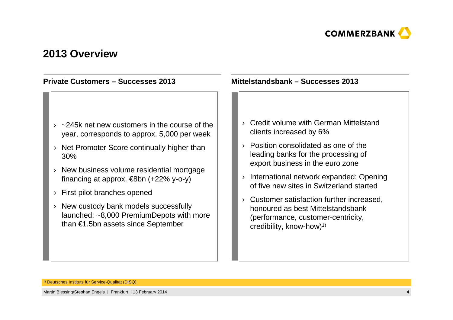

### **2013 Overview**

#### **Private Customers – Successes 2013**

### $\rightarrow$  ~245k net new customers in the course of the year, corresponds to approx. 5,000 per week

- › Net Promoter Score continually higher than 30%
- › New business volume residential mortgage financing at approx.  $\in$ 8bn (+22% y-o-y)
- › First pilot branches opened
- › New custody bank models successfully launched: ~8,000 PremiumDepots with more than €1.5bn assets since September

#### **Mittelstandsbank – Successes 2013**

### › Credit volume with German Mittelstandclients increased by 6%

- › Position consolidated as one of the leading banks for the processing of export business in the euro zone
- › International network expanded: Opening of five new sites in Switzerland started
- › Customer satisfaction further increased, honoured as best Mittelstandsbank (performance, customer-centricity, credibility, know-how)1)

1)Deutsches Instituts für Service-Qualität (DISQ).

Martin Blessing/Stephan Engels | Frankfurt | 13 February 2014**<sup>4</sup>**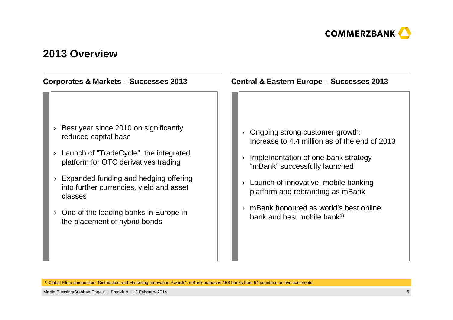

### **2013 Overview**

### › Ongoing strong customer growth: Increase to 4.4 million as of the end of 2013 › Implementation of one-bank strategy "mBank" successfully launched› Launch of innovative, mobile banking platform and rebranding as mBank› mBank honoured as world's best online bank and best mobile bank1) › Best year since 2010 on significantly reduced capital base› Launch of "TradeCycle", the integrated platform for OTC derivatives trading› Expanded funding and hedging offering into further currencies, yield and asset classes› One of the leading banks in Europe in the placement of hybrid bonds**Corporates & Markets – Successes 2013 Central & Eastern Europe – Successes 2013**

1) Global Efma competition "Distribution and Marketing Innovation Awards". mBank outpaced 158 banks from 54 countries on five continents.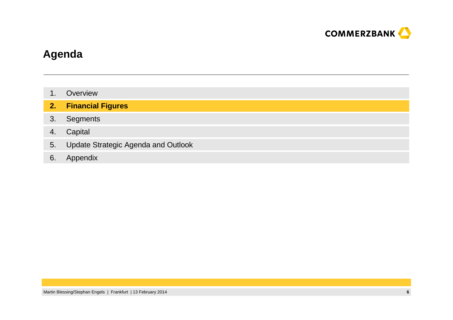

## **Agenda**

- 1.**Overview**
- **2.Financial Figures**
- 3.**Segments**
- 4.Capital
- 5.Update Strategic Agenda and Outlook
- 6. Appendix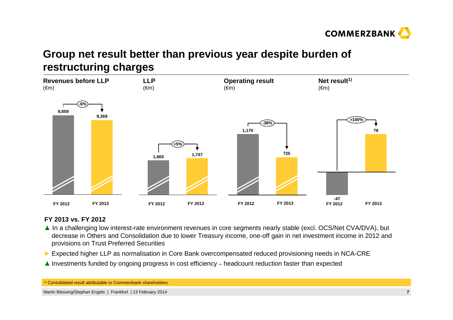

# **Group net result better than previous year despite burden ofrestructuring charges**



#### **FY 2013 vs. FY 2012**

- **▲** In a challenging low interest-rate environment revenues in core segments nearly stable (excl. OCS/Net CVA/DVA), but decrease in Others and Consolidation due to lower Treasury income, one-off gain in net investment income in 2012 and provisions on Trust Preferred Securities
- **►** Expected higher LLP as normalisation in Core Bank overcompensated reduced provisioning needs in NCA-CRE
- **▲** Investments funded by ongoing progress in cost efficiency headcount reduction faster than expected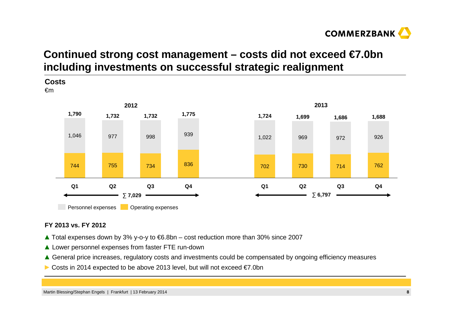

# **Continued strong cost management – costs did not exceed €7.0bn including investments on successful strategic realignment**



#### **FY 2013 vs. FY 2012**

- **▲** Total expenses down by 3% y-o-y to €6.8bn cost reduction more than 30% since 2007
- **▲** Lower personnel expenses from faster FTE run-down
- ▲ General price increases, regulatory costs and investments could be compensated by ongoing efficiency measures **A**<br>
and the cost of the cost of the cost of the cost of the cost of the cost of the cost of the cost of the
- ► Costs in 2014 expected to be above 2013 level, but will not exceed €7.0bn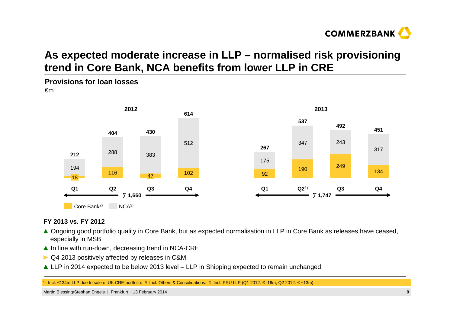

# **As expected moderate increase in LLP – normalised risk provisioning trend in Core Bank, NCA benefits from lower LLP in CRE**

#### **Provisions for loan losses** €m



#### **FY 2013 vs. FY 2012**

- **▲** Ongoing good portfolio quality in Core Bank, but as expected normalisation in LLP in Core Bank as releases have ceased, especially in MSB especially in MSB
- ▲ In line with run-down, decreasing trend in NCA-CRE<br>▶ 4.2012 positively offected by releases in C8M
- ► Q4 2013 positively affected by releases in C&M
- **▲** LLP in 2014 expected to be below 2013 level LLP in Shipping expected to remain unchanged

1) Incl. €134m LLP due to sale of UK CRE-portfolio. 2) Incl. Others & Consolidations. 3) Incl. PRU LLP (Q1 2012: € -16m; Q2 2012: € +13m).

Martin Blessing/Stephan Engels | Frankfurt | 13 February 2014**<sup>9</sup>**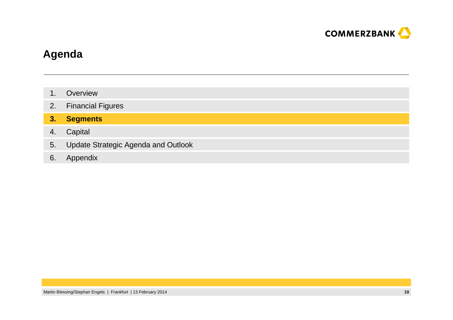

## **Agenda**

- 1.**Overview**
- 2.Financial Figures

#### **3.Segments**

- 4.**Capital**
- 5.Update Strategic Agenda and Outlook
- 6. Appendix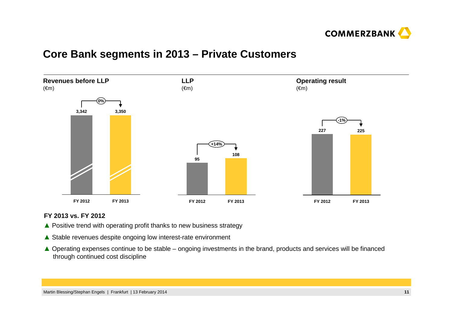

### **Core Bank segments in 2013 – Private Customers**



#### **FY 2013 vs. FY 2012**

- **▲** Positive trend with operating profit thanks to new business strategy
- **▲** Stable revenues despite ongoing low interest-rate environment
- **▲** Operating expenses continue to be stable ongoing investments in the brand, products and services will be financed<br>through continued cost discipline through continued cost discipline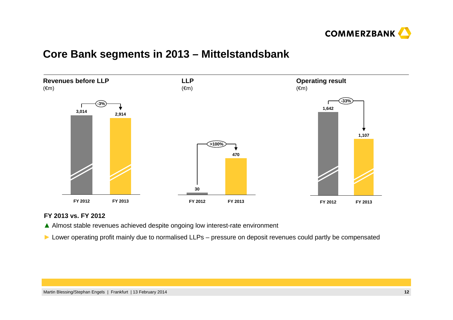

### **Core Bank segments in 2013 – Mittelstandsbank**



#### **FY 2013 vs. FY 2012**

**▲** Almost stable revenues achieved despite ongoing low interest-rate environment

► Lower operating profit mainly due to normalised LLPs – pressure on deposit revenues could partly be compensated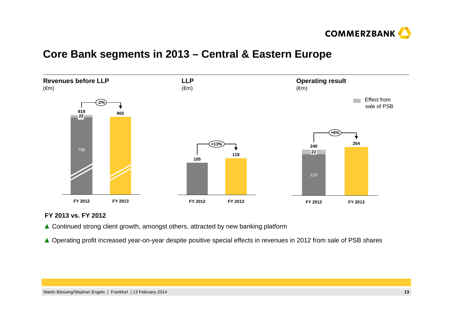

### **Core Bank segments in 2013 – Central & Eastern Europe**



#### **FY 2013 vs. FY 2012**

- ▲ Continued strong client growth, amongst others, attracted by new banking platform
- ▲ Operating profit increased year-on-year despite positive special effects in revenues in 2012 from sale of PSB shares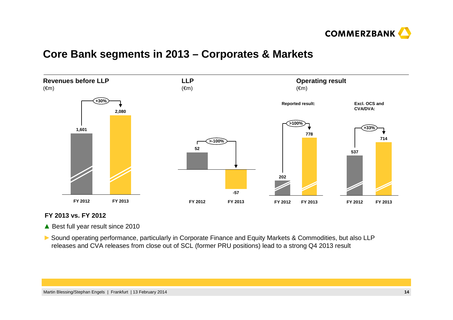

### **Core Bank segments in 2013 – Corporates & Markets**



#### **FY 2013 vs. FY 2012**

▲ Best full year result since 2010

► Sound operating performance, particularly in Corporate Finance and Equity Markets & Commodities, but also LLP<br>releases and CVA releases from close out of SCL (former PRLL positions) lead to a strong O4 2013 result releases and CVA releases from close out of SCL (former PRU positions) lead to a strong Q4 2013 result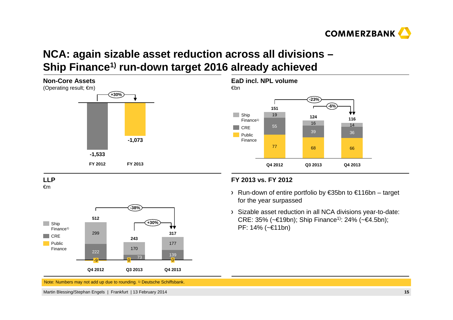

# **NCA: again sizable asset reduction across all divisions –Ship Finance1) run-down target 2016 already achieved**



**EaD incl. NPL volume**







€m



#### **FY 2013 vs. FY 2012**

- Run-down of entire portfolio by €35bn to €116bn target for the year surpassed
- Sizable asset reduction in all NCA divisions year-to-date:CRE: 35% (~€19bn); Ship Finance<sup>1)</sup>: 24% (~€4.5bn); PF: 14% (~€11bn)

Note: Numbers may not add up due to rounding. 1) Deutsche Schiffsbank.

Martin Blessing/Stephan Engels | Frankfurt | 13 February 2014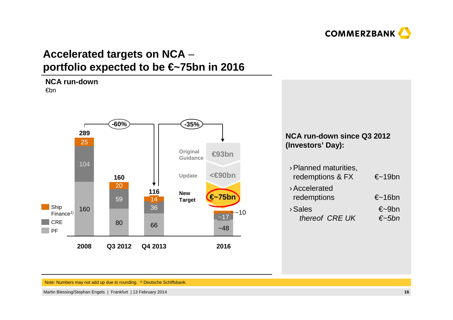

# **Accelerated targets on NCA** –**portfolio expected to be €~75bn in 2016**



#### Note: Numbers may not add up due to rounding. 1) Deutsche Schiffsbank.

Martin Blessing/Stephan Engels | Frankfurt | 13 February 2014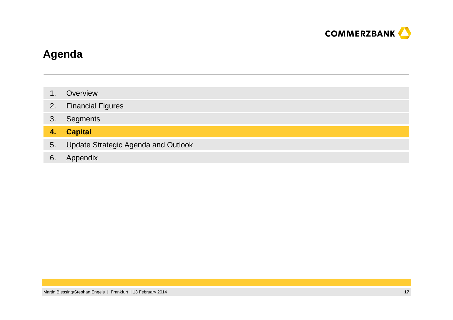

## **Agenda**

- 1.**Overview**
- 2.Financial Figures
- 3.**Segments**

#### **4.Capital**

- 5.Update Strategic Agenda and Outlook
- 6. Appendix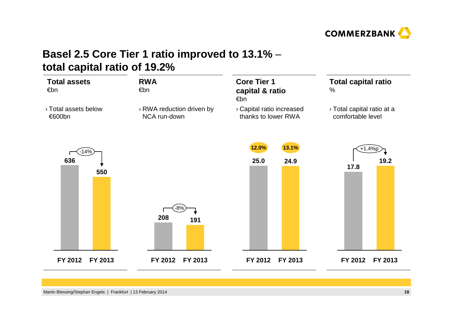

# **Basel 2.5 Core Tier 1 ratio improved to 13.1%** –**total capital ratio of 19.2%**

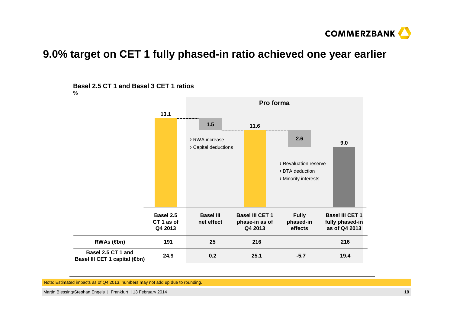

## **9.0% target on CET 1 fully phased-in ratio achieved one year earlier**



Note: Estimated impacts as of Q4 2013, numbers may not add up due to rounding.

Martin Blessing/Stephan Engels | Frankfurt | 13 February 2014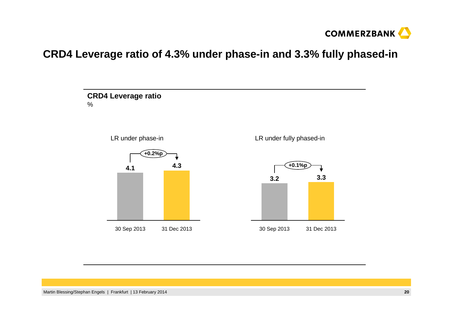

## **CRD4 Leverage ratio of 4.3% under phase-in and 3.3% fully phased-in**

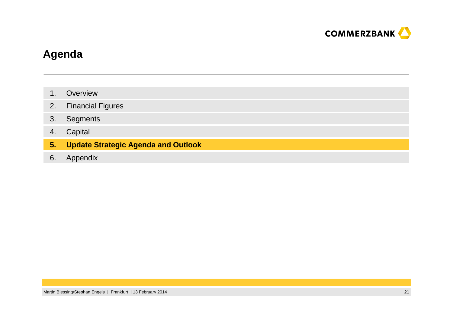

## **Agenda**

- 1.**Overview**
- 2.Financial Figures
- 3.**Segments**
- 4.**Capital**
- **5.Update Strategic Agenda and Outlook**
- 6. Appendix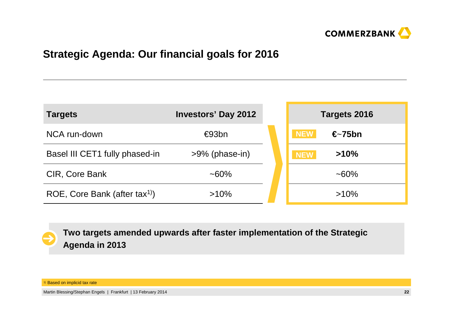

# **Strategic Agenda: Our financial goals for 2016**

| <b>Targets</b>                 | <b>Investors' Day 2012</b> | Targets 2016                   |
|--------------------------------|----------------------------|--------------------------------|
| NCA run-down                   | €93bn                      | <b>NEW</b><br>$\epsilon$ -75bn |
| Basel III CET1 fully phased-in | $>9\%$ (phase-in)          | >10%<br><b>NEW</b>             |
| CIR, Core Bank                 | $~160\%$                   | $~160\%$                       |
| ROE, Core Bank (after $tax1$ ) | $>10\%$                    | $>10\%$                        |

**Two targets amended upwards after faster implementation of the StrategicAgenda in 2013**

<sup>1)</sup> Based on implicid tax rate

Martin Blessing/Stephan Engels | Frankfurt | 13 February 2014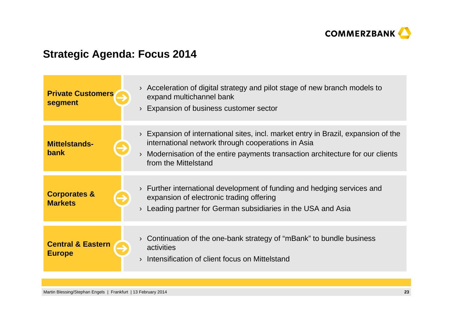

# **Strategic Agenda: Focus 2014**

| <b>Private Customers</b><br>segment           | Acceleration of digital strategy and pilot stage of new branch models to<br>expand multichannel bank<br>Expansion of business customer sector                                                                                                   |
|-----------------------------------------------|-------------------------------------------------------------------------------------------------------------------------------------------------------------------------------------------------------------------------------------------------|
| <b>Mittelstands-</b><br>bank                  | Expansion of international sites, incl. market entry in Brazil, expansion of the<br>international network through cooperations in Asia<br>Modernisation of the entire payments transaction architecture for our clients<br>from the Mittelstand |
| <b>Corporates &amp;</b><br><b>Markets</b>     | Further international development of funding and hedging services and<br>expansion of electronic trading offering<br>Leading partner for German subsidiaries in the USA and Asia                                                                |
| <b>Central &amp; Eastern</b><br><b>Europe</b> | Continuation of the one-bank strategy of "mBank" to bundle business<br>activities<br>Intensification of client focus on Mittelstand                                                                                                             |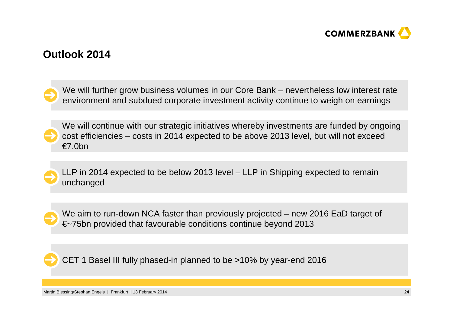

### **Outlook 2014**

We will further grow business volumes in our Core Bank – nevertheless low interest rate environment and subdued corporate investment activity continue to weigh on earnings

We will continue with our strategic initiatives whereby investments are funded by ongoing cost efficiencies – costs in 2014 expected to be above 2013 level, but will not exceed €7.0bn

LLP in 2014 expected to be below 2013 level – LLP in Shipping expected to remain unchanged

We aim to run-down NCA faster than previously projected – new 2016 EaD target of €~75bn provided that favourable conditions continue beyond 2013

CET 1 Basel III fully phased-in planned to be >10% by year-end 2016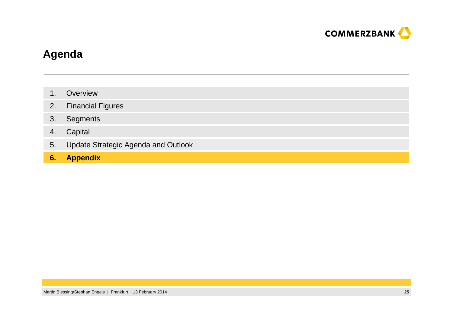

## **Agenda**

- 1.**Overview**
- 2.Financial Figures
- 3.**Segments**
- 4.Capital
- 5.Update Strategic Agenda and Outlook
- **6. Appendix**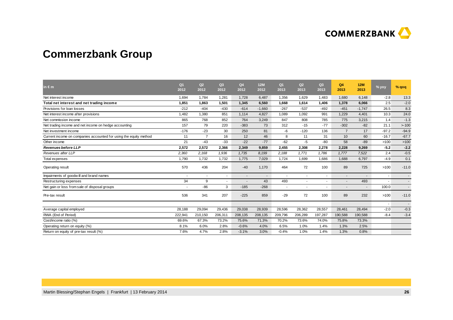

# **Commerzbank Group**

| in $\epsilon$ m                                                   | Q <sub>1</sub><br>2012 | Q2<br>2012               | Q3<br>2012               | Q4<br>2012 | <b>12M</b><br>2012 | Q <sub>1</sub><br>2013   | Q2<br>2013               | Q <sub>3</sub><br>2013 | Q4<br>2013     | <b>12M</b><br>2013       | % yoy   | % qoq                    |
|-------------------------------------------------------------------|------------------------|--------------------------|--------------------------|------------|--------------------|--------------------------|--------------------------|------------------------|----------------|--------------------------|---------|--------------------------|
| Net interest income                                               | 1,694                  | 1.784                    | 1.281                    | 1.728      | 6,487              | 1.356                    | 1.629                    | 1.483                  | 1.680          | 6.148                    | $-2.8$  | 13.3                     |
| Total net interest and net trading income                         | 1,851                  | 1,863                    | 1,501                    | 1,345      | 6,560              | 1,668                    | 1,614                    | 1,406                  | 1,378          | 6,066                    | 2.5     | $-2.0$                   |
| Provisions for loan losses                                        | $-212$                 | $-404$                   | $-430$                   | $-614$     | $-1.660$           | $-267$                   | $-537$                   | $-492$                 | $-451$         | $-1,747$                 | 26.5    | 8.3                      |
| Net interest income after provisions                              | 1,482                  | 1,380                    | 851                      | 1,114      | 4,827              | 1,089                    | 1,092                    | 991                    | 1,229          | 4,401                    | 10.3    | 24.0                     |
| Net commission income                                             | 865                    | 768                      | 852                      | 764        | 3,249              | 847                      | 808                      | 785                    | 775            | 3,215                    | 1.4     | $-1.3$                   |
| Net trading income and net income on hedge accounting             | 157                    | 79                       | 220                      | $-383$     | 73                 | 312                      | $-15$                    | $-77$                  | $-302$         | $-82$                    | 21.1    | >100                     |
| Net investment income                                             | $-176$                 | $-23$                    | 30                       | 250        | 81                 | -6                       | $-120$                   | 136                    | $\overline{7}$ | 17                       | $-97.2$ | $-94.9$                  |
| Current income on companies accounted for using the equity method | 11                     | $\overline{7}$           | 16                       | 12         | 46                 | 8                        | 11                       | 31                     | 10             | 60                       | $-16.7$ | $-67.7$                  |
| Other income                                                      | 21                     | $-43$                    | $-33$                    | $-22$      | $-77$              | $-62$                    | -5                       | $-80$                  | 58             | $-89$                    | >100    | >100                     |
| <b>Revenues before LLP</b>                                        | 2,572                  | 2,572                    | 2,366                    | 2,349      | 9,859              | 2,455                    | 2,308                    | 2,278                  | 2,228          | 9,269                    | $-5.2$  | $-2.2$                   |
| Revenues after LLP                                                | 2,360                  | 2,168                    | 1,936                    | 1,735      | 8,199              | 2,188                    | 1,771                    | 1,786                  | 1,777          | 7,522                    | 2.4     | $-0.5$                   |
| <b>Total expenses</b>                                             | 1,790                  | 1,732                    | 1,732                    | 1,775      | 7,029              | 1.724                    | 1.699                    | 1.686                  | 1.688          | 6,797                    | $-4.9$  | 0.1                      |
| Operating result                                                  | 570                    | 436                      | 204                      | $-40$      | 1,170              | 464                      | 72                       | 100                    | 89             | 725                      | >100    | $-11.0$                  |
| Impairments of goodwill and brand names                           | $\sim$                 | $\overline{\phantom{a}}$ | $\overline{\phantom{a}}$ | $\sim$     | $\sim$             | $\overline{\phantom{a}}$ |                          |                        |                | $\overline{\phantom{a}}$ |         | $\overline{\phantom{a}}$ |
| Restructuring expenses                                            | 34                     | 9                        |                          |            | 43                 | 493                      | $\overline{\phantom{a}}$ |                        |                | 493                      |         | $\overline{\phantom{a}}$ |
| Net gain or loss from sale of disposal groups                     |                        | $-86$                    | 3                        | $-185$     | $-268$             | $\sim$                   | $\overline{\phantom{a}}$ |                        |                | $\overline{\phantom{a}}$ | 100.0   | $\blacksquare$           |
| Pre-tax result                                                    | 536                    | 341                      | 207                      | $-225$     | 859                | $-29$                    | 72                       | 100                    | 89             | 232                      | >100    | $-11.0$                  |
|                                                                   |                        |                          |                          |            |                    |                          |                          |                        |                |                          |         |                          |
| Average capital employed                                          | 28,188                 | 29,094                   | 29,436                   | 29,038     | 28,939             | 28,596                   | 28,362                   | 28,557                 | 28,461         | 28,494                   | $-2.0$  | $-0.3$                   |
| RWA (End of Period)                                               | 222,941                | 210,150                  | 206,311                  | 208,135    | 208,135            | 209,796                  | 206,289                  | 197,287                | 190,588        | 190,588                  | $-8.4$  | $-3.4$                   |
| Cost/income ratio (%)                                             | 69.6%                  | 67.3%                    | 73.2%                    | 75.6%      | 71.3%              | 70.2%                    | 73.6%                    | 74.0%                  | 75.8%          | 73.3%                    |         |                          |
| Operating return on equity (%)                                    | 8.1%                   | 6.0%                     | 2.8%                     | $-0.6%$    | 4.0%               | 6.5%                     | 1.0%                     | 1.4%                   | 1.3%           | 2.5%                     |         |                          |
| Return on equity of pre-tax result (%)                            | 7.6%                   | 4.7%                     | 2.8%                     | $-3.1%$    | 3.0%               | $-0.4%$                  | 1.0%                     | 1.4%                   | 1.3%           | 0.8%                     |         |                          |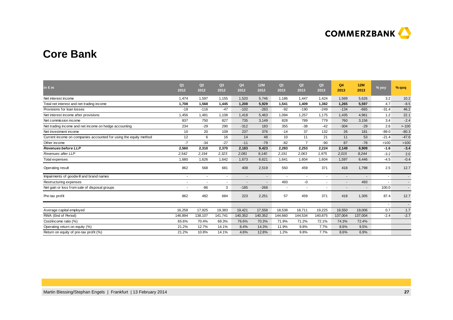

### **Core Bank**

| in $\epsilon$ m                                                   | Q <sub>1</sub><br>2012 | Q2<br>2012               | Q3<br>2012     | Q <sub>4</sub><br>2012   | <b>12M</b><br>2012       | Q <sub>1</sub><br>2013 | Q2<br>2013               | Q3<br>2013 | Q4<br>2013 | 12M<br>2013              | $%$ yoy | % qoq                    |
|-------------------------------------------------------------------|------------------------|--------------------------|----------------|--------------------------|--------------------------|------------------------|--------------------------|------------|------------|--------------------------|---------|--------------------------|
| Net interest income                                               | 1.474                  | 1,597                    | 1,155          | 1,520                    | 5.746                    | 1.186                  | 1.447                    | 1.424      | 1.569      | 5.626                    | 3.2     | 10.2                     |
| Total net interest and net trading income                         | 1,708                  | 1,568                    | 1,445          | 1,208                    | 5,929                    | 1,541                  | 1,409                    | 1,382      | 1,265      | 5,597                    | 4.7     | $-8.5$                   |
| Provisions for loan losses                                        | $-18$                  | $-116$                   | $-47$          | $-102$                   | $-283$                   | $-92$                  | $-190$                   | $-249$     | $-134$     | $-665$                   | $-31.4$ | 46.2                     |
| Net interest income after provisions                              | 1,456                  | 1,481                    | 1,108          | 1,418                    | 5,463                    | 1,094                  | 1,257                    | 1.175      | 1,435      | 4,961                    | 1.2     | 22.1                     |
| Net commission income                                             | 837                    | 750                      | 827            | 735                      | 3,149                    | 828                    | 789                      | 779        | 760        | 3,156                    | 3.4     | $-2.4$                   |
| Net trading income and net income on hedge accounting             | 234                    | $-29$                    | 290            | $-312$                   | 183                      | 355                    | $-38$                    | $-42$      | $-304$     | $-29$                    | 2.6     | >100                     |
| Net investment income                                             | 10                     | 20                       | 109            | 237                      | 376                      | $-14$                  | 37                       | 132        | 26         | 181                      | $-89.0$ | $-80.3$                  |
| Current income on companies accounted for using the equity method | 12                     | 6                        | 16             | 14                       | 48                       | 10                     | 11                       | 21         | 11         | 53                       | $-21.4$ | $-47.6$                  |
| Other income                                                      | $-7$                   | $-34$                    | $-27$          | $-11$                    | $-79$                    | $-82$                  | $\overline{7}$           | $-90$      | 87         | $-78$                    | >100    | >100                     |
| <b>Revenues before LLP</b>                                        | 2,560                  | 2,310                    | 2,370          | 2,183                    | 9,423                    | 2,283                  | 2,253                    | 2.224      | 2,149      | 8,909                    | $-1.6$  | $-3.4$                   |
| Revenues after LLP                                                | 2,542                  | 2,194                    | 2,323          | 2,081                    | 9,140                    | 2,191                  | 2,063                    | 1.975      | 2,015      | 8,244                    | $-3.2$  | 2.0                      |
| Total expenses                                                    | 1,680                  | 1,626                    | 1,642          | 1,673                    | 6,621                    | 1,641                  | 1,604                    | 1,604      | 1,597      | 6,446                    | $-4.5$  | $-0.4$                   |
| Operating result                                                  | 862                    | 568                      | 681            | 408                      | 2,519                    | 550                    | 459                      | 371        | 418        | 1,798                    | 2.5     | 12.7                     |
| Impairments of goodwill and brand names                           |                        | $\overline{\phantom{a}}$ | $\blacksquare$ | $\blacksquare$           | $\overline{\phantom{a}}$ | $\sim$                 | $\overline{\phantom{a}}$ |            |            | $\overline{\phantom{a}}$ |         |                          |
| Restructuring expenses                                            |                        |                          | $\blacksquare$ | $\overline{\phantom{a}}$ |                          | 493                    | -0                       |            |            | 493                      |         | $\overline{\phantom{a}}$ |
| Net gain or loss from sale of disposal groups                     |                        | $-86$                    | 3              | $-185$                   | $-268$                   | $\sim$                 | $\overline{\phantom{a}}$ |            |            | $\overline{\phantom{a}}$ | 100.0   | $\sim$                   |
| Pre-tax profit                                                    | 862                    | 482                      | 684            | 223                      | 2,251                    | 57                     | 459                      | 371        | 418        | 1,305                    | 87.4    | 12.7                     |
|                                                                   |                        |                          |                |                          |                          |                        |                          |            |            |                          |         |                          |
| Average capital employed                                          | 16,258                 | 17,925                   | 19,383         | 19,421                   | 17,558                   | 18,538                 | 18,711                   | 19,225     | 19,550     | 19,006                   | 0.7     | 1.7                      |
| RWA (End of Period)                                               | 146,894                | 138,107                  | 141,741        | 140,352                  | 140,352                  | 144,660                | 144,534                  | 140,875    | 137,004    | 137,004                  | $-2.4$  | $-2.7$                   |
| Cost/income ratio (%)                                             | 65.6%                  | 70.4%                    | 69.3%          | 76.6%                    | 70.3%                    | 71.9%                  | 71.2%                    | 72.1%      | 74.3%      | 72.4%                    |         |                          |
| Operating return on equity (%)                                    | 21.2%                  | 12.7%                    | 14.1%          | 8.4%                     | 14.3%                    | 11.9%                  | 9.8%                     | 7.7%       | 8.6%       | 9.5%                     |         |                          |
| Return on equity of pre-tax profit (%)                            | 21.2%                  | 10.8%                    | 14.1%          | 4.6%                     | 12.8%                    | 1.2%                   | 9.8%                     | 7.7%       | 8.6%       | 6.9%                     |         |                          |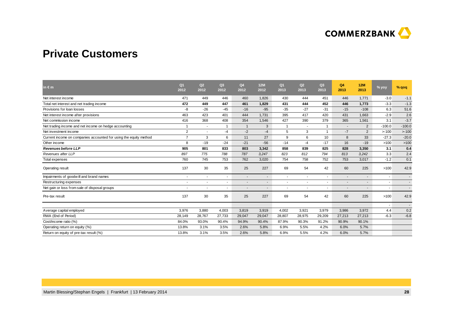

### **Private Customers**

| in $\epsilon$ m                                                   | Q <sub>1</sub><br>2012   | Q2<br>2012               | Q3<br>2012               | Q4<br>2012               | <b>12M</b><br>2012       | Q <sub>1</sub><br>2013   | Q <sub>2</sub><br>2013 | Q3<br>2013               | Q4<br>2013               | 12M<br>2013              | % yoy                    | % qoq                    |
|-------------------------------------------------------------------|--------------------------|--------------------------|--------------------------|--------------------------|--------------------------|--------------------------|------------------------|--------------------------|--------------------------|--------------------------|--------------------------|--------------------------|
| Net interest income                                               | 471                      | 449                      | 446                      | 460                      | 1,826                    | 430                      | 444                    | 451                      | 446                      | 1,771                    | $-3.0$                   | $-1.1$                   |
| Total net interest and net trading income                         | 472                      | 449                      | 447                      | 461                      | 1,829                    | 431                      | 444                    | 452                      | 446                      | 1,773                    | $-3.3$                   | $-1.3$                   |
| Provisions for loan losses                                        | -8                       | $-26$                    | $-45$                    | $-16$                    | $-95$                    | $-35$                    | $-27$                  | $-31$                    | $-15$                    | $-108$                   | 6.3                      | 51.6                     |
| Net interest income after provisions                              | 463                      | 423                      | 401                      | 444                      | 1,731                    | 395                      | 417                    | 420                      | 431                      | 1,663                    | $-2.9$                   | 2.6                      |
| Net commission income                                             | 416                      | 368                      | 408                      | 354                      | 1.546                    | 427                      | 390                    | 379                      | 365                      | 1,561                    | 3.1                      | $-3.7$                   |
| Net trading income and net income on hedge accounting             |                          | $\sim$                   |                          |                          | 3                        | -1                       | $\sim$                 | -1                       | $\overline{a}$           | 2                        | $-100.0$                 | $-100.0$                 |
| Net investment income                                             | $\overline{2}$           | $\overline{\phantom{a}}$ | -4                       | $-2$                     | -4                       | 5                        | 3                      | $\mathbf{1}$             | $-7$                     | 2                        | >100                     | $> -100$                 |
| Current income on companies accounted for using the equity method | $\overline{7}$           | 3                        | 6                        | 11                       | 27                       | 9                        | 6                      | 10                       | 8                        | 33                       | $-27.3$                  | $-20.0$                  |
| Other income                                                      | 8                        | $-19$                    | $-24$                    | $-21$                    | $-56$                    | $-14$                    | $-4$                   | $-17$                    | 16                       | $-19$                    | >100                     | >100                     |
| <b>Revenues before LLP</b>                                        | 905                      | 801                      | 833                      | 803                      | 3,342                    | 858                      | 839                    | 825                      | 828                      | 3,350                    | 3.1                      | 0.4                      |
| Revenues after LLP                                                | 897                      | 775                      | 788                      | 787                      | 3,247                    | 823                      | 812                    | 794                      | 813                      | 3,242                    | 3.3                      | 2.4                      |
| Total expenses                                                    | 760                      | 745                      | 753                      | 762                      | 3,020                    | 754                      | 758                    | 752                      | 753                      | 3,017                    | $-1.2$                   | 0.1                      |
| Operating result                                                  | 137                      | 30                       | 35                       | 25                       | 227                      | 69                       | 54                     | 42                       | 60                       | 225                      | >100                     | 42.9                     |
| Impairments of goodwill and brand names                           | $\overline{\phantom{a}}$ | $\sim$                   | $\overline{\phantom{a}}$ | $\overline{\phantom{a}}$ | $\overline{\phantom{a}}$ | $\overline{\phantom{a}}$ |                        | ۰                        | $\overline{\phantom{a}}$ | $\blacksquare$           | $\overline{\phantom{a}}$ | $\sim$                   |
| Restructuring expenses                                            |                          |                          | ٠                        |                          |                          |                          |                        |                          |                          |                          |                          |                          |
| Net gain or loss from sale of disposal groups                     | ٠                        | ٠                        | $\overline{\phantom{a}}$ | $\sim$                   | $\overline{\phantom{a}}$ | $\overline{\phantom{a}}$ |                        | $\overline{\phantom{a}}$ | $\blacksquare$           | $\overline{\phantom{a}}$ | $\overline{\phantom{a}}$ | $\overline{\phantom{a}}$ |
| Pre-tax result                                                    | 137                      | 30                       | 35                       | 25                       | 227                      | 69                       | 54                     | 42                       | 60                       | 225                      | >100                     | 42.9                     |
|                                                                   |                          |                          |                          |                          |                          |                          |                        |                          |                          |                          | ٠                        | $\sim$                   |
| Average capital employed                                          | 3,976                    | 3,880                    | 4,003                    | 3,819                    | 3,919                    | 4,002                    | 3,921                  | 3,979                    | 3,986                    | 3,972                    | 4.4                      | 0.2                      |
| RWA (End of Period)                                               | 28,149                   | 28,767                   | 27,733                   | 29,047                   | 29,047                   | 28,807                   | 28,975                 | 29,209                   | 27,213                   | 27.213                   | $-6.3$                   | $-6.8$                   |
| Cost/income ratio (%)                                             | 84.0%                    | 93.0%                    | 90.4%                    | 94.9%                    | 90.4%                    | 87.9%                    | 90.3%                  | 91.2%                    | 90.9%                    | 90.1%                    |                          |                          |
| Operating return on equity (%)                                    | 13.8%                    | 3.1%                     | 3.5%                     | 2.6%                     | 5.8%                     | 6.9%                     | 5.5%                   | 4.2%                     | 6.0%                     | 5.7%                     |                          |                          |
| Return on equity of pre-tax result (%)                            | 13.8%                    | 3.1%                     | 3.5%                     | 2.6%                     | 5.8%                     | 6.9%                     | 5.5%                   | 4.2%                     | 6.0%                     | 5.7%                     |                          |                          |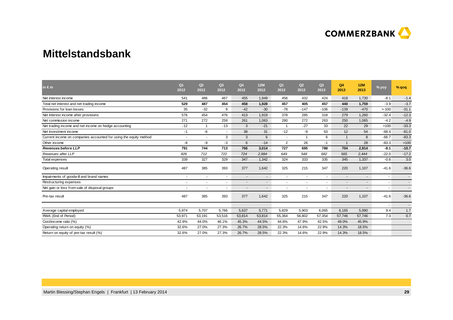

### **Mittelstandsbank**

| in $\epsilon$ m                                                   | Q <sub>1</sub><br>2012   | Q2<br>2012 | Q <sub>3</sub><br>2012   | Q4<br>2012               | <b>12M</b><br>2012 | Q <sub>1</sub><br>2013 | Q <sub>2</sub><br>2013   | Q3<br>2013 | Q4<br>2013 | <b>12M</b><br>2013       | % yoy                    | $%$ qoq                  |
|-------------------------------------------------------------------|--------------------------|------------|--------------------------|--------------------------|--------------------|------------------------|--------------------------|------------|------------|--------------------------|--------------------------|--------------------------|
| Net interest income                                               | 541                      | 486        | 467                      | 455                      | 1,949              | 456                    | 432                      | 424        | 418        | 1,730                    | $-8.1$                   | $-1.4$                   |
| Total net interest and net trading income                         | 529                      | 487        | 454                      | 458                      | 1,928              | 457                    | 405                      | 457        | 440        | 1,759                    | $-3.9$                   | $-3.7$                   |
| Provisions for loan losses                                        | 35                       | $-32$      | 9                        | $-42$                    | $-30$              | $-78$                  | $-147$                   | $-106$     | $-139$     | $-470$                   | >100                     | $-31.1$                  |
| Net interest income after provisions                              | 576                      | 454        | 476                      | 413                      | 1,919              | 378                    | 285                      | 318        | 279        | 1,260                    | $-32.4$                  | $-12.3$                  |
| Net commission income                                             | 271                      | 272        | 259                      | 261                      | 1,063              | 280                    | 272                      | 263        | 250        | 1,065                    | $-4.2$                   | $-4.9$                   |
| Net trading income and net income on hedge accounting             | $-12$                    |            | $-13$                    | 3                        | $-21$              | -1                     | $-27$                    | 33         | 22         | 29                       | >100                     | $-33.3$                  |
| Net investment income                                             | $-1$                     | -6         | ٠                        | 38                       | 31                 | $-12$                  | -9                       | 63         | 12         | 54                       | $-68.4$                  | $-81.0$                  |
| Current income on companies accounted for using the equity method | $\overline{\phantom{a}}$ | $\sim$     | 3                        | 3                        | 6                  |                        | $\overline{1}$           | 6          |            | 8                        | $-66.7$                  | $-83.3$                  |
| Other income                                                      | -8                       | $-9$       | $-3$                     | 6                        | $-14$              | $\overline{2}$         | 26                       | $-1$       |            | 28                       | $-83.3$                  | >100                     |
| <b>Revenues before LLP</b>                                        | 791                      | 744        | 713                      | 766                      | 3,014              | 727                    | 695                      | 788        | 704        | 2,914                    | $-8.1$                   | $-10.7$                  |
| Revenues after LLP                                                | 826                      | 712        | 722                      | 724                      | 2,984              | 649                    | 548                      | 682        | 565        | 2,444                    | $-22.0$                  | $-17.2$                  |
| Total expenses                                                    | 339                      | 327        | 329                      | 347                      | 1,342              | 324                    | 333                      | 335        | 345        | 1,337                    | $-0.6$                   | 3.0                      |
| Operating result                                                  | 487                      | 385        | 393                      | 377                      | 1,642              | 325                    | 215                      | 347        | 220        | 1,107                    | $-41.6$                  | $-36.6$                  |
| Impairments of goodwill and brand names                           | $\overline{\phantom{a}}$ | $\sim$     | $\overline{\phantom{a}}$ | $\overline{\phantom{a}}$ | $\sim$             |                        | $\overline{\phantom{a}}$ | ۰          |            | $\overline{\phantom{a}}$ | $\overline{\phantom{a}}$ |                          |
| Restructuring expenses                                            |                          | ٠          |                          |                          |                    |                        |                          |            |            |                          |                          |                          |
| Net gain or loss from sale of disposal groups                     | $\overline{\phantom{a}}$ | $\sim$     | ٠                        | $\overline{\phantom{a}}$ |                    |                        | $\blacksquare$           | ٠          |            |                          | $\overline{\phantom{a}}$ |                          |
| Pre-tax result                                                    | 487                      | 385        | 393                      | 377                      | 1,642              | 325                    | 215                      | 347        | 220        | 1,107                    | $-41.6$                  | $-36.6$                  |
|                                                                   |                          |            |                          |                          |                    |                        |                          |            |            |                          | ٠                        | $\overline{\phantom{a}}$ |
| Average capital employed                                          | 5,974                    | 5,707      | 5,766                    | 5,637                    | 5,771              | 5,829                  | 5,903                    | 6,065      | 6,165      | 5,990                    | 9.4                      | 1.7                      |
| RWA (End of Period)                                               | 53,971                   | 53,191     | 53,516                   | 53,814                   | 53,814             | 55,364                 | 56,802                   | 57,354     | 57,746     | 57,746                   | 7.3                      | 0.7                      |
| Cost/income ratio (%)                                             | 42.9%                    | 44.0%      | 46.1%                    | 45.3%                    | 44.5%              | 44.6%                  | 47.9%                    | 42.5%      | 49.0%      | 45.9%                    |                          |                          |
| Operating return on equity (%)                                    | 32.6%                    | 27.0%      | 27.3%                    | 26.7%                    | 28.5%              | 22.3%                  | 14.6%                    | 22.9%      | 14.3%      | 18.5%                    |                          |                          |
| Return on equity of pre-tax result (%)                            | 32.6%                    | 27.0%      | 27.3%                    | 26.7%                    | 28.5%              | 22.3%                  | 14.6%                    | 22.9%      | 14.3%      | 18.5%                    |                          |                          |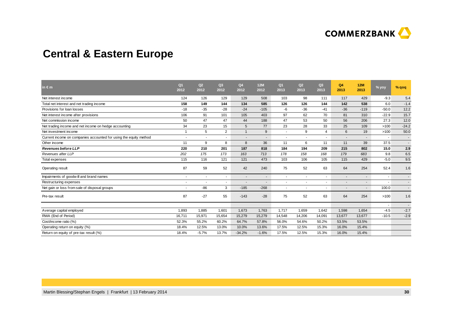

# **Central & Eastern Europe**

| in $\epsilon$ m                                                   | Q <sub>1</sub><br>2012   | Q <sub>2</sub><br>2012   | Q3<br>2012               | Q4<br>2012               | <b>12M</b><br>2012       | Q <sub>1</sub><br>2013   | Q <sub>2</sub><br>2013   | Q3<br>2013 | Q4<br>2013     | 12M<br>2013              | % yoy                    | % qoq   |
|-------------------------------------------------------------------|--------------------------|--------------------------|--------------------------|--------------------------|--------------------------|--------------------------|--------------------------|------------|----------------|--------------------------|--------------------------|---------|
| Net interest income                                               | 124                      | 126                      | 129                      | 129                      | 508                      | 103                      | 98                       | 111        | 117            | 429                      | $-9.3$                   | 5.4     |
| Total net interest and net trading income                         | 158                      | 149                      | 144                      | 134                      | 585                      | 126                      | 126                      | 144        | 142            | 538                      | 6.0                      | $-1.4$  |
| Provisions for loan losses                                        | $-18$                    | $-35$                    | $-28$                    | $-24$                    | $-105$                   | -6                       | $-36$                    | $-41$      | $-36$          | $-119$                   | $-50.0$                  | 12.2    |
| Net interest income after provisions                              | 106                      | 91                       | 101                      | 105                      | 403                      | 97                       | 62                       | 70         | 81             | 310                      | $-22.9$                  | 15.7    |
| Net commission income                                             | 50                       | 47                       | 47                       | 44                       | 188                      | 47                       | 53                       | 50         | 56             | 206                      | 27.3                     | 12.0    |
| Net trading income and net income on hedge accounting             | 34                       | 23                       | 15                       | 5                        | 77                       | 23                       | 28                       | 33         | 25             | 109                      | >100                     | $-24.2$ |
| Net investment income                                             | $\overline{1}$           | 5                        | $\overline{2}$           | $\mathbf{1}$             | 9                        |                          | 9                        | 4          | 6              | 19                       | >100                     | 50.0    |
| Current income on companies accounted for using the equity method | $\overline{\phantom{a}}$ | $\overline{\phantom{a}}$ | $\overline{\phantom{a}}$ | $\overline{\phantom{a}}$ | $\overline{\phantom{a}}$ | $\overline{\phantom{a}}$ | $\overline{\phantom{a}}$ |            | $\blacksquare$ | $\overline{\phantom{a}}$ | $\overline{\phantom{a}}$ | $\sim$  |
| Other income                                                      | 11                       | 9                        | 8                        | 8                        | 36                       | 11                       | 6                        | 11         | 11             | 39                       | 37.5                     | ٠.      |
| <b>Revenues before LLP</b>                                        | 220                      | 210                      | 201                      | 187                      | 818                      | 184                      | 194                      | 209        | 215            | 802                      | 15.0                     | 2.9     |
| Revenues after LLP                                                | 202                      | 175                      | 173                      | 163                      | 713                      | 178                      | 158                      | 168        | 179            | 683                      | 9.8                      | 6.5     |
| Total expenses                                                    | 115                      | 116                      | 121                      | 121                      | 473                      | 103                      | 106                      | 105        | 115            | 429                      | $-5.0$                   | 9.5     |
| Operating result                                                  | 87                       | 59                       | 52                       | 42                       | 240                      | 75                       | 52                       | 63         | 64             | 254                      | 52.4                     | 1.6     |
| Impairments of goodwill and brand names                           | $\overline{\phantom{a}}$ | $\sim$                   | $\overline{\phantom{a}}$ | $\overline{\phantom{a}}$ | $\overline{\phantom{a}}$ | $\overline{\phantom{a}}$ | $\overline{\phantom{a}}$ |            | $\blacksquare$ | $\overline{\phantom{a}}$ | $\overline{\phantom{a}}$ | $\sim$  |
| Restructuring expenses                                            |                          |                          | ۰                        |                          |                          |                          |                          |            |                | ٠                        |                          | $\sim$  |
| Net gain or loss from sale of disposal groups                     | $\overline{\phantom{a}}$ | $-86$                    | 3                        | $-185$                   | $-268$                   | $\overline{\phantom{a}}$ | $\overline{\phantom{a}}$ |            | $\blacksquare$ | ٠                        | 100.0                    | $\sim$  |
| Pre-tax result                                                    | 87                       | $-27$                    | 55                       | $-143$                   | $-28$                    | 75                       | 52                       | 63         | 64             | 254                      | >100                     | 1.6     |
|                                                                   |                          |                          |                          |                          |                          |                          |                          |            |                |                          |                          | $\sim$  |
| Average capital employed                                          | 1,893                    | 1,885                    | 1,601                    | 1,673                    | 1,763                    | 1,717                    | 1,659                    | 1,642      | 1,598          | 1,654                    | $-4.5$                   | $-2.7$  |
| RWA (End of Period)                                               | 16,711                   | 15,971                   | 15,654                   | 15,279                   | 15,279                   | 14,548                   | 14,206                   | 14,091     | 13,677         | 13,677                   | $-10.5$                  | $-2.9$  |
| Cost/income ratio (%)                                             | 52.3%                    | 55.2%                    | 60.2%                    | 64.7%                    | 57.8%                    | 56.0%                    | 54.6%                    | 50.2%      | 53.5%          | 53.5%                    |                          |         |
| Operating return on equity (%)                                    | 18.4%                    | 12.5%                    | 13.0%                    | 10.0%                    | 13.6%                    | 17.5%                    | 12.5%                    | 15.3%      | 16.0%          | 15.4%                    |                          |         |
| Return on equity of pre-tax result (%)                            | 18.4%                    | $-5.7%$                  | 13.7%                    | $-34.2%$                 | $-1.6%$                  | 17.5%                    | 12.5%                    | 15.3%      | 16.0%          | 15.4%                    |                          |         |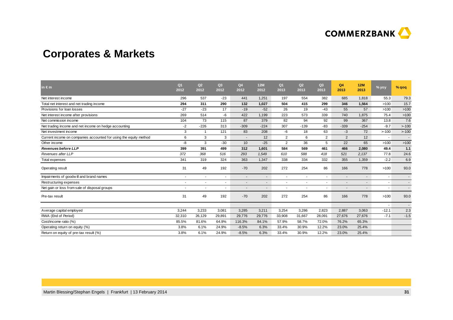

# **Corporates & Markets**

| in $\epsilon$ m                                                   | Q <sub>1</sub><br>2012 | Q2<br>2012               | Q3<br>2012               | Q4<br>2012               | <b>12M</b><br>2012 | Q <sub>1</sub><br>2013   | Q2<br>2013               | Q3<br>2013 | Q4<br>2013     | 12M<br>2013              | % yoy                    | $%$ qoq                  |
|-------------------------------------------------------------------|------------------------|--------------------------|--------------------------|--------------------------|--------------------|--------------------------|--------------------------|------------|----------------|--------------------------|--------------------------|--------------------------|
| Net interest income                                               | 296                    | 537                      | $-23$                    | 441                      | 1,251              | 197                      | 554                      | 382        | 685            | 1.818                    | 55.3                     | 79.3                     |
| Total net interest and net trading income                         | 294                    | 311                      | 290                      | 132                      | 1,027              | 504                      | 415                      | 299        | 346            | 1,564                    | >100                     | 15.7                     |
| Provisions for loan losses                                        | $-27$                  | $-23$                    | 17                       | $-19$                    | $-52$              | 26                       | 19                       | $-43$      | 55             | 57                       | >100                     | >100                     |
| Net interest income after provisions                              | 269                    | 514                      | -6                       | 422                      | 1,199              | 223                      | 573                      | 339        | 740            | 1,875                    | 75.4                     | >100                     |
| Net commission income                                             | 104                    | 73                       | 115                      | 87                       | 379                | 82                       | 94                       | 92         | 99             | 367                      | 13.8                     | 7.6                      |
| Net trading income and net income on hedge accounting             | $-2$                   | $-226$                   | 313                      | $-309$                   | $-224$             | 307                      | $-139$                   | $-83$      | $-339$         | $-254$                   | $-9.7$                   | >100                     |
| Net investment income                                             | 3                      | 1                        | 121                      | 83                       | 208                | -6                       | 18                       | 63         | $-3$           | 72                       | >100                     | >100                     |
| Current income on companies accounted for using the equity method | 6                      | 3                        | 3                        | $\overline{\phantom{a}}$ | 12                 | 2                        | 6                        | 2          | $\overline{2}$ | 12                       | $\sim$                   | $\overline{\phantom{a}}$ |
| Other income                                                      | -8                     | 3                        | $-30$                    | 10                       | $-25$              | $\overline{2}$           | 36                       | 5          | 22             | 65                       | >100                     | >100                     |
| <b>Revenues before LLP</b>                                        | 399                    | 391                      | 499                      | 312                      | 1,601              | 584                      | 569                      | 461        | 466            | 2,080                    | 49.4                     | 1.1                      |
| Revenues after LLP                                                | 372                    | 368                      | 516                      | 293                      | 1,549              | 610                      | 588                      | 418        | 521            | 2,137                    | 77.8                     | 24.6                     |
| Total expenses                                                    | 341                    | 319                      | 324                      | 363                      | 1,347              | 338                      | 334                      | 332        | 355            | 1,359                    | $-2.2$                   | 6.9                      |
| Operating result                                                  | 31                     | 49                       | 192                      | $-70$                    | 202                | 272                      | 254                      | 86         | 166            | 778                      | >100                     | 93.0                     |
| Impairments of goodwill and brand names                           | ×                      | $\sim$                   | $\sim$                   |                          |                    |                          | $\overline{a}$           |            |                |                          | ۰                        | $\overline{\phantom{a}}$ |
| Restructuring expenses                                            |                        | $\overline{\phantom{a}}$ | $\sim$                   |                          |                    |                          | $\overline{\phantom{a}}$ |            |                |                          |                          | $\overline{\phantom{a}}$ |
| Net gain or loss from sale of disposal groups                     | ٠                      | $\sim$                   | $\overline{\phantom{a}}$ |                          | ۰                  | $\overline{\phantom{a}}$ | $\overline{\phantom{a}}$ | ٠          | ٠              | $\overline{\phantom{a}}$ | $\overline{\phantom{a}}$ | $\overline{\phantom{a}}$ |
| Pre-tax result                                                    | 31                     | 49                       | 192                      | $-70$                    | 202                | 272                      | 254                      | 86         | 166            | 778                      | >100                     | 93.0                     |
|                                                                   |                        |                          |                          |                          |                    |                          |                          |            |                |                          |                          | $\overline{\phantom{a}}$ |
| Average capital employed                                          | 3,244                  | 3,233                    | 3,081                    | 3,285                    | 3,211              | 3,254                    | 3,286                    | 2,823      | 2,887          | 3,063                    | $-12.1$                  | 2.3                      |
| RWA (End of Period)                                               | 32,310                 | 26,129                   | 29,891                   | 29,776                   | 29,776             | 33,908                   | 31,667                   | 28,091     | 27,676         | 27,676                   | $-7.1$                   | $-1.5$                   |
| Cost/income ratio (%)                                             | 85.5%                  | 81.6%                    | 64.9%                    | 116.3%                   | 84.1%              | 57.9%                    | 58.7%                    | 72.0%      | 76.2%          | 65.3%                    |                          |                          |
| Operating return on equity (%)                                    | 3.8%                   | 6.1%                     | 24.9%                    | $-8.5%$                  | 6.3%               | 33.4%                    | 30.9%                    | 12.2%      | 23.0%          | 25.4%                    |                          |                          |
| Return on equity of pre-tax result (%)                            | 3.8%                   | 6.1%                     | 24.9%                    | $-8.5%$                  | 6.3%               | 33.4%                    | 30.9%                    | 12.2%      | 23.0%          | 25.4%                    |                          |                          |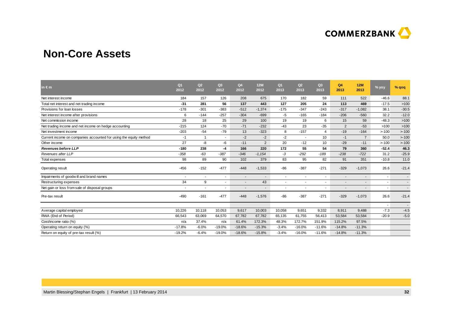

### **Non-Core Assets**

| in $\epsilon$ m                                                   | Q <sub>1</sub><br>2012   | Q2<br>2012               | Q <sub>3</sub><br>2012   | Q4<br>2012     | 12M<br>2012              | Q <sub>1</sub><br>2013 | Q2<br>2013               | Q3<br>2013 | Q4<br>2013     | 12M<br>2013    | % yoy                    | % $q$ oq                 |
|-------------------------------------------------------------------|--------------------------|--------------------------|--------------------------|----------------|--------------------------|------------------------|--------------------------|------------|----------------|----------------|--------------------------|--------------------------|
| Net interest income                                               | 184                      | 157                      | 126                      | 208            | 675                      | 170                    | 182                      | 59         | 111            | 522            | $-46.6$                  | 88.1                     |
| Total net interest and net trading income                         | $-31$                    | 281                      | 56                       | 137            | 443                      | 127                    | 205                      | 24         | 113            | 469            | $-17.5$                  | >100                     |
| Provisions for loan losses                                        | $-178$                   | $-301$                   | $-383$                   | $-512$         | $-1,374$                 | $-175$                 | $-347$                   | $-243$     | $-317$         | $-1,082$       | 38.1                     | $-30.5$                  |
| Net interest income after provisions                              | 6                        | $-144$                   | $-257$                   | $-304$         | $-699$                   | -5                     | $-165$                   | $-184$     | $-206$         | $-560$         | 32.2                     | $-12.0$                  |
| Net commission income                                             | 28                       | 18                       | 25                       | 29             | 100                      | 19                     | 19                       | 6          | 15             | 59             | $-48.3$                  | >100                     |
| Net trading income and net income on hedge accounting             | $-215$                   | 124                      | $-70$                    | $-71$          | $-232$                   | $-43$                  | 23                       | $-35$      | 2              | $-53$          | >100                     | >100                     |
| Net investment income                                             | $-203$                   | $-54$                    | $-79$                    | 13             | $-323$                   | 8                      | $-157$                   | 4          | $-19$          | $-164$         | >100                     | >100                     |
| Current income on companies accounted for using the equity method | $-1$                     | $\mathbf{1}$             | $\sim$                   | $-2$           | $-2$                     | -2                     | $\sim$                   | 10         | $-1$           | $\overline{7}$ | 50.0                     | >100                     |
| Other income                                                      | 27                       | -8                       | -6                       | $-11$          | $\overline{2}$           | 20                     | $-12$                    | 10         | $-29$          | $-11$          | >100                     | >100                     |
| <b>Revenues before LLP</b>                                        | $-180$                   | 238                      | -4                       | 166            | 220                      | 172                    | 55                       | 54         | 79             | 360            | $-52.4$                  | 46.3                     |
| Revenues after LLP                                                | $-358$                   | $-63$                    | $-387$                   | $-346$         | $-1,154$                 | $-3$                   | $-292$                   | $-189$     | $-238$         | $-722$         | 31.2                     | $-25.9$                  |
| Total expenses                                                    | 98                       | 89                       | 90                       | 102            | 379                      | 83                     | 95                       | 82         | 91             | 351            | $-10.8$                  | 11.0                     |
| Operating result                                                  | $-456$                   | $-152$                   | $-477$                   | $-448$         | $-1,533$                 | $-86$                  | $-387$                   | $-271$     | $-329$         | $-1,073$       | 26.6                     | $-21.4$                  |
| Impairments of goodwill and brand names                           |                          | $\overline{\phantom{a}}$ | $\overline{\phantom{a}}$ | $\blacksquare$ | $\overline{\phantom{a}}$ | ٠                      | $\overline{\phantom{a}}$ |            |                |                |                          |                          |
| Restructuring expenses                                            | 34                       | 9                        | $\overline{\phantom{a}}$ | $\blacksquare$ | 43                       | ٠                      | $\overline{\phantom{a}}$ |            | $\blacksquare$ | $\sim$         | $\overline{\phantom{a}}$ | $\overline{\phantom{a}}$ |
| Net gain or loss from sale of disposal groups                     | $\overline{\phantom{a}}$ | $\overline{\phantom{a}}$ | $\overline{\phantom{a}}$ |                | $\blacksquare$           | ٠                      |                          |            |                | $\sim$         | $\overline{\phantom{a}}$ | $\blacksquare$           |
| Pre-tax result                                                    | $-490$                   | $-161$                   | $-477$                   | $-448$         | $-1,576$                 | $-86$                  | $-387$                   | $-271$     | $-329$         | $-1,073$       | 26.6                     | $-21.4$                  |
|                                                                   |                          |                          |                          |                |                          |                        |                          |            |                |                |                          | $\overline{\phantom{a}}$ |
| Average capital employed                                          | 10.226                   | 10,118                   | 10,053                   | 9,617          | 10,003                   | 10,058                 | 9,651                    | 9,332      | 8,911          | 9.488          | $-7.3$                   | $-4.5$                   |
| RWA (End of Period)                                               | 66,543                   | 63,069                   | 64,570                   | 67,782         | 67,782                   | 65,135                 | 61,755                   | 56,413     | 53,584         | 53,584         | $-20.9$                  | $-5.0$                   |
| Cost/income ratio (%)                                             | n/a                      | 37.4%                    | n/a                      | 61.4%          | 172.3%                   | 48.3%                  | 172.7%                   | 151.9%     | 115.2%         | 97.5%          |                          |                          |
| Operating return on equity (%)                                    | $-17.8%$                 | $-6.0%$                  | $-19.0%$                 | $-18.6%$       | $-15.3%$                 | $-3.4%$                | $-16.0%$                 | $-11.6%$   | $-14.8%$       | $-11.3%$       |                          |                          |
| Return on equity of pre-tax result (%)                            | $-19.2%$                 | $-6.4%$                  | $-19.0%$                 | $-18.6%$       | $-15.8%$                 | $-3.4%$                | $-16.0%$                 | $-11.6%$   | $-14.8%$       | $-11.3%$       |                          |                          |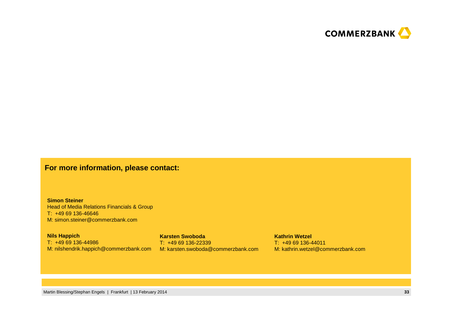

### **For more information, please contact:**

**Simon Steiner** Head of Media Relations Financials & GroupT: +49 69 136-46646M: simon.steiner@commerzbank.com

**Nils Happich** T: +49 69 136-44986M: nilshendrik.happich@commerzbank.com M: karsten.swoboda@commerzbank.com

**Karsten Swoboda**T: +49 69 136-22339 **Kathrin Wetzel**T: +49 69 136-44011

M: kathrin.wetzel@commerzbank.com